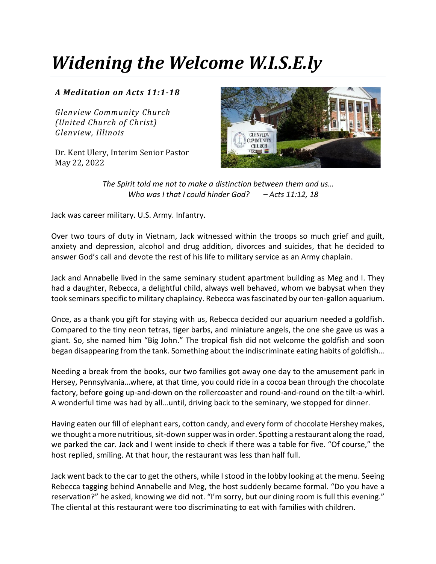## *Widening the Welcome W.I.S.E.ly*

## *A Meditation on Acts 11:1-18*

*Glenview Community Church (United Church of Christ) Glenview, Illinois*

Dr. Kent Ulery, Interim Senior Pastor May 22, 2022



*The Spirit told me not to make a distinction between them and us… Who was I that I could hinder God? – Acts 11:12, 18*

Jack was career military. U.S. Army. Infantry.

Over two tours of duty in Vietnam, Jack witnessed within the troops so much grief and guilt, anxiety and depression, alcohol and drug addition, divorces and suicides, that he decided to answer God's call and devote the rest of his life to military service as an Army chaplain.

Jack and Annabelle lived in the same seminary student apartment building as Meg and I. They had a daughter, Rebecca, a delightful child, always well behaved, whom we babysat when they took seminars specific to military chaplaincy. Rebecca was fascinated by our ten-gallon aquarium.

Once, as a thank you gift for staying with us, Rebecca decided our aquarium needed a goldfish. Compared to the tiny neon tetras, tiger barbs, and miniature angels, the one she gave us was a giant. So, she named him "Big John." The tropical fish did not welcome the goldfish and soon began disappearing from the tank. Something about the indiscriminate eating habits of goldfish…

Needing a break from the books, our two families got away one day to the amusement park in Hersey, Pennsylvania…where, at that time, you could ride in a cocoa bean through the chocolate factory, before going up-and-down on the rollercoaster and round-and-round on the tilt-a-whirl. A wonderful time was had by all…until, driving back to the seminary, we stopped for dinner.

Having eaten our fill of elephant ears, cotton candy, and every form of chocolate Hershey makes, we thought a more nutritious, sit-down supper was in order. Spotting a restaurant along the road, we parked the car. Jack and I went inside to check if there was a table for five. "Of course," the host replied, smiling. At that hour, the restaurant was less than half full.

Jack went back to the car to get the others, while I stood in the lobby looking at the menu. Seeing Rebecca tagging behind Annabelle and Meg, the host suddenly became formal. "Do you have a reservation?" he asked, knowing we did not. "I'm sorry, but our dining room is full this evening." The cliental at this restaurant were too discriminating to eat with families with children.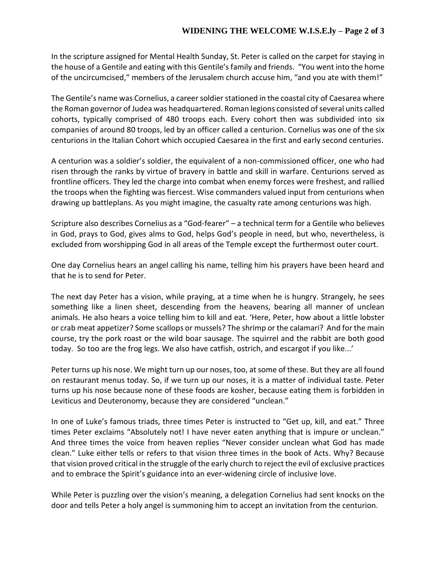In the scripture assigned for Mental Health Sunday, St. Peter is called on the carpet for staying in the house of a Gentile and eating with this Gentile's family and friends. "You went into the home of the uncircumcised," members of the Jerusalem church accuse him, "and you ate with them!"

The Gentile's name was Cornelius, a career soldier stationed in the coastal city of Caesarea where the Roman governor of Judea was headquartered. Roman legions consisted of several units called cohorts, typically comprised of 480 troops each. Every cohort then was subdivided into six companies of around 80 troops, led by an officer called a centurion. Cornelius was one of the six centurions in the Italian Cohort which occupied Caesarea in the first and early second centuries.

A centurion was a soldier's soldier, the equivalent of a non-commissioned officer, one who had risen through the ranks by virtue of bravery in battle and skill in warfare. Centurions served as frontline officers. They led the charge into combat when enemy forces were freshest, and rallied the troops when the fighting was fiercest. Wise commanders valued input from centurions when drawing up battleplans. As you might imagine, the casualty rate among centurions was high.

Scripture also describes Cornelius as a "God-fearer" – a technical term for a Gentile who believes in God, prays to God, gives alms to God, helps God's people in need, but who, nevertheless, is excluded from worshipping God in all areas of the Temple except the furthermost outer court.

One day Cornelius hears an angel calling his name, telling him his prayers have been heard and that he is to send for Peter.

The next day Peter has a vision, while praying, at a time when he is hungry. Strangely, he sees something like a linen sheet, descending from the heavens, bearing all manner of unclean animals. He also hears a voice telling him to kill and eat. 'Here, Peter, how about a little lobster or crab meat appetizer? Some scallops or mussels? The shrimp or the calamari? And for the main course, try the pork roast or the wild boar sausage. The squirrel and the rabbit are both good today. So too are the frog legs. We also have catfish, ostrich, and escargot if you like...'

Peter turns up his nose. We might turn up our noses, too, at some of these. But they are all found on restaurant menus today. So, if we turn up our noses, it is a matter of individual taste. Peter turns up his nose because none of these foods are kosher, because eating them is forbidden in Leviticus and Deuteronomy, because they are considered "unclean."

In one of Luke's famous triads, three times Peter is instructed to "Get up, kill, and eat." Three times Peter exclaims "Absolutely not! I have never eaten anything that is impure or unclean." And three times the voice from heaven replies "Never consider unclean what God has made clean." Luke either tells or refers to that vision three times in the book of Acts. Why? Because that vision proved critical in the struggle of the early church to reject the evil of exclusive practices and to embrace the Spirit's guidance into an ever-widening circle of inclusive love.

While Peter is puzzling over the vision's meaning, a delegation Cornelius had sent knocks on the door and tells Peter a holy angel is summoning him to accept an invitation from the centurion.